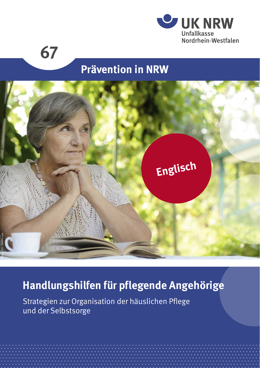

**67**

# **Prävention in NRW**



# **Handlungshilfen für pflegende Angehörige**

Strategien zur Organisation der häuslichen Pflege und der Selbstsorge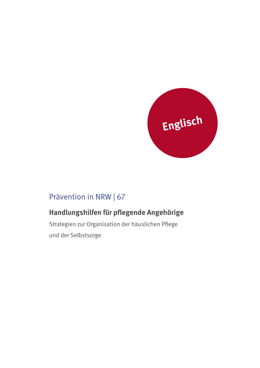

## Prävention in NRW | 67

## **Handlungshilfen für pflegende Angehörige**

Strategien zur Organisation der häuslichen Pflege und der Selbstsorge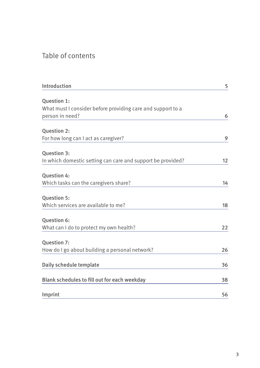## Table of contents

| 6  |
|----|
|    |
| 9  |
|    |
| 12 |
|    |
| 14 |
|    |
| 18 |
|    |
| 22 |
|    |
| 26 |
| 36 |
|    |
| 38 |
| 56 |
|    |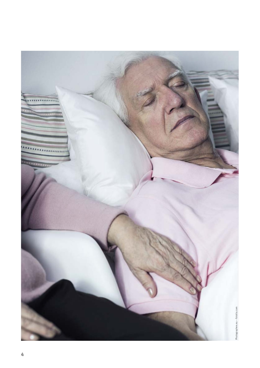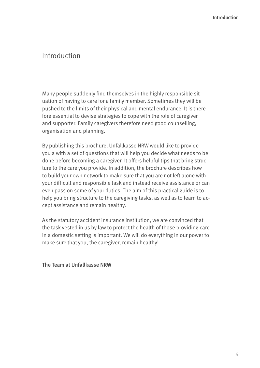## Introduction

Many people suddenly find themselves in the highly responsible situation of having to care for a family member. Sometimes they will be pushed to the limits of their physical and mental endurance. It is therefore essential to devise strategies to cope with the role of caregiver and supporter. Family caregivers therefore need good counselling, organisation and planning.

By publishing this brochure, Unfallkasse NRW would like to provide you a with a set of questions that will help you decide what needs to be done before becoming a caregiver. It offers helpful tips that bring structure to the care you provide. In addition, the brochure describes how to build your own network to make sure that you are not left alone with your difficult and responsible task and instead receive assistance or can even pass on some of your duties. The aim of this practical guide is to help you bring structure to the caregiving tasks, as well as to learn to accept assistance and remain healthy.

As the statutory accident insurance institution, we are convinced that the task vested in us by law to protect the health of those providing care in a domestic setting is important. We will do everything in our power to make sure that you, the caregiver, remain healthy!

The Team at Unfallkasse NRW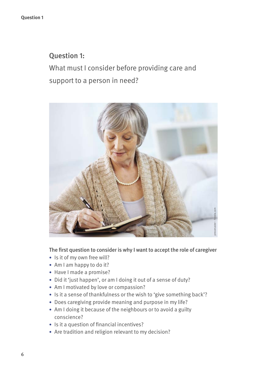## Question 1:

## What must I consider before providing care and support to a person in need?



The first question to consider is why I want to accept the role of caregiver

- Is it of my own free will?
- Am I am happy to do it?
- Have I made a promise?
- Did it 'just happen', or am I doing it out of a sense of duty?
- Am I motivated by love or compassion?
- Is it a sense of thankfulness or the wish to 'give something back'?
- Does caregiving provide meaning and purpose in my life?
- Am I doing it because of the neighbours or to avoid a guilty conscience?
- Is it a question of financial incentives?
- Are tradition and religion relevant to my decision?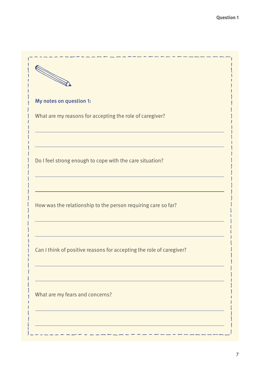| <b>Contract on the Contract of the Contract of The Contract of The Contract of The Contract of The Contract of The Contract of The Contract of The Contract of The Contract of The Contract of The Contract of The Contract of T</b> |
|--------------------------------------------------------------------------------------------------------------------------------------------------------------------------------------------------------------------------------------|
| My notes on question 1:                                                                                                                                                                                                              |
| What are my reasons for accepting the role of caregiver?                                                                                                                                                                             |
|                                                                                                                                                                                                                                      |
| Do I feel strong enough to cope with the care situation?                                                                                                                                                                             |
|                                                                                                                                                                                                                                      |
| How was the relationship to the person requiring care so far?                                                                                                                                                                        |
|                                                                                                                                                                                                                                      |
| Can I think of positive reasons for accepting the role of caregiver?                                                                                                                                                                 |
|                                                                                                                                                                                                                                      |
| What are my fears and concerns?                                                                                                                                                                                                      |
|                                                                                                                                                                                                                                      |
|                                                                                                                                                                                                                                      |

 $\overline{\phantom{0}}$  $\sim$  $\overline{\phantom{a}}$ 

 $\overline{\phantom{a}}$ 

L.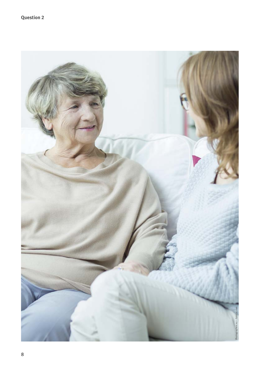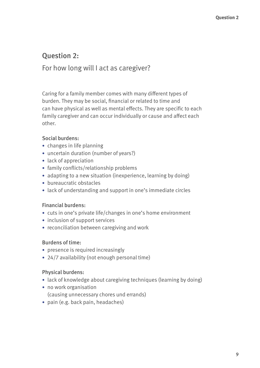## Question 2:

For how long will I act as caregiver?

Caring for a family member comes with many different types of burden. They may be social, financial or related to time and can have physical as well as mental effects. They are specific to each family caregiver and can occur individually or cause and affect each other.

#### Social burdens:

- changes in life planning
- uncertain duration (number of years?)
- lack of appreciation
- family conflicts/relationship problems
- adapting to a new situation (inexperience, learning by doing)
- bureaucratic obstacles
- lack of understanding and support in one's immediate circles

#### Financial burdens:

- cuts in one's private life/changes in one's home environment
- inclusion of support services
- reconciliation between caregiving and work

#### Burdens of time:

- presence is required increasingly
- 24/7 availability (not enough personal time)

#### Physical burdens:

- lack of knowledge about caregiving techniques (learning by doing)
- no work organisation (causing unnecessary chores und errands)
- pain (e.g. back pain, headaches)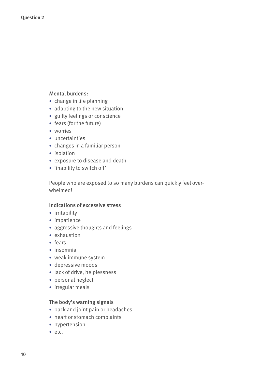#### Mental burdens:

- change in life planning
- adapting to the new situation
- guilty feelings or conscience
- fears (for the future)
- worries
- uncertainties
- changes in a familiar person
- isolation
- exposure to disease and death
- 'inability to switch off'

People who are exposed to so many burdens can quickly feel overwhelmed!

#### Indications of excessive stress

- irritability
- impatience
- aggressive thoughts and feelings
- exhaustion
- fears
- insomnia
- weak immune system
- depressive moods
- lack of drive, helplessness
- personal neglect
- irregular meals

#### The body's warning signals

- back and joint pain or headaches
- heart or stomach complaints
- hypertension
- etc.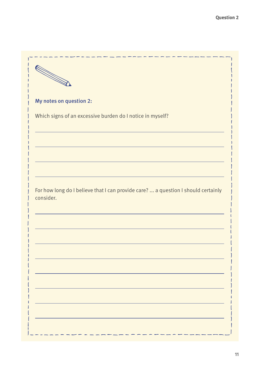| <b>Contract on the Contract of the Contract of The Contract of The Contract of The Contract of The Contract of The Contract of The Contract of The Contract of The Contract of The Contract of The Contract of The Contract of T</b> |                                                                                   |  |  |
|--------------------------------------------------------------------------------------------------------------------------------------------------------------------------------------------------------------------------------------|-----------------------------------------------------------------------------------|--|--|
| My notes on question 2:                                                                                                                                                                                                              |                                                                                   |  |  |
|                                                                                                                                                                                                                                      | Which signs of an excessive burden do I notice in myself?                         |  |  |
|                                                                                                                                                                                                                                      |                                                                                   |  |  |
|                                                                                                                                                                                                                                      |                                                                                   |  |  |
|                                                                                                                                                                                                                                      |                                                                                   |  |  |
|                                                                                                                                                                                                                                      |                                                                                   |  |  |
|                                                                                                                                                                                                                                      | For how long do I believe that I can provide care?  a question I should certainly |  |  |
| consider.                                                                                                                                                                                                                            |                                                                                   |  |  |
|                                                                                                                                                                                                                                      |                                                                                   |  |  |
|                                                                                                                                                                                                                                      |                                                                                   |  |  |
|                                                                                                                                                                                                                                      |                                                                                   |  |  |
|                                                                                                                                                                                                                                      |                                                                                   |  |  |
|                                                                                                                                                                                                                                      |                                                                                   |  |  |

 $\sim$  $\overline{\phantom{a}}$ 

 $\overline{\phantom{a}}$ L.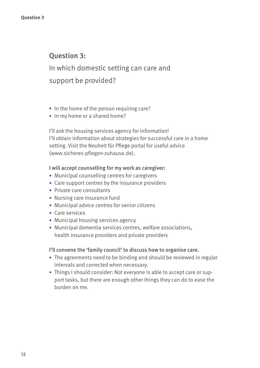## Question 3:

In which domestic setting can care and support be provided?

- In the home of the person requiring care?
- In my home or a shared home?

I'll ask the housing services agency for information! I'll obtain information about strategies for successful care in a home setting. Visit the Neuheit für Pflege portal for useful advice (www.sicheres-pflegen-zuhause.de).

#### I will accept counselling for my work as caregiver:

- Municipal counselling centres for caregivers
- Care support centres by the insurance providers
- Private care consultants
- Nursing care insurance fund
- Municipal advice centres for senior citizens
- Care services
- Municipal housing services agency
- Municipal dementia services centres, welfare associations, health insurance providers and private providers

#### I'll convene the 'family council' to discuss how to organise care.

- The agreements need to be binding and should be reviewed in regular intervals and corrected when necessary.
- Things I should consider: Not everyone is able to accept care or support tasks, but there are enough other things they can do to ease the burden on me.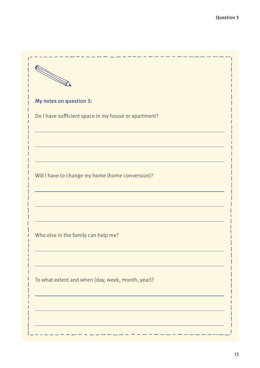| <b>Contract on the Contract of The Contract of The Contract of The Contract of The Contract of The Contract of The Contract of The Contract of The Contract of The Contract of The Contract of The Contract of The Contract of T</b> |
|--------------------------------------------------------------------------------------------------------------------------------------------------------------------------------------------------------------------------------------|
| My notes on question 3:                                                                                                                                                                                                              |
| Do I have sufficient space in my house or apartment?                                                                                                                                                                                 |
|                                                                                                                                                                                                                                      |
| Will I have to change my home (home conversion)?                                                                                                                                                                                     |
|                                                                                                                                                                                                                                      |
| Who else in the family can help me?                                                                                                                                                                                                  |
|                                                                                                                                                                                                                                      |
| To what extent and when (day, week, month, year)?                                                                                                                                                                                    |
|                                                                                                                                                                                                                                      |
|                                                                                                                                                                                                                                      |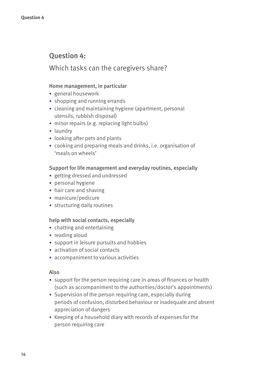## Question 4:

### Which tasks can the caregivers share?

#### Home management, in particular

- general housework
- shopping and running errands
- cleaning and maintaining hygiene (apartment, personal utensils, rubbish disposal)
- minor repairs (e.g. replacing light bulbs)
- laundry
- looking after pets and plants
- cooking and preparing meals and drinks, i.e. organisation of 'meals on wheels'

#### Support for life management and everyday routines, especially

- getting dressed and undressed
- personal hygiene
- hair care and shaving
- manicure/pedicure
- structuring daily routines

#### help with social contacts, especially

- chatting and entertaining
- reading aloud
- support in leisure pursuits and hobbies
- activation of social contacts
- accompaniment to various activities

#### Also

- support for the person requiring care in areas of finances or health (such as accompaniment to the authorities/doctor's appointments)
- Supervision of the person requiring care, especially during periods of confusion, disturbed behaviour or inadequate and absent appreciation of dangers
- Keeping of a household diary with records of expenses for the person requiring care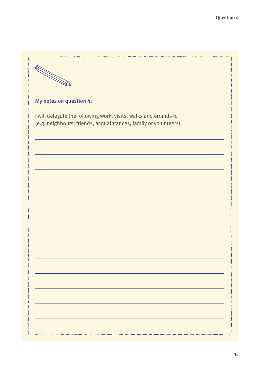| <b>Contract on the Contract of the Contract of The Contract of The Contract of The Contract of The Contract of The Contract of The Contract of The Contract of The Contract of The Contract of The Contract of The Contract of T</b> |
|--------------------------------------------------------------------------------------------------------------------------------------------------------------------------------------------------------------------------------------|
| My notes on question 4:<br>I will delegate the following work, visits, walks and errands to<br>(e.g. neighbours, friends, acquaintances, family or volunteers).                                                                      |
|                                                                                                                                                                                                                                      |
|                                                                                                                                                                                                                                      |
|                                                                                                                                                                                                                                      |
|                                                                                                                                                                                                                                      |
|                                                                                                                                                                                                                                      |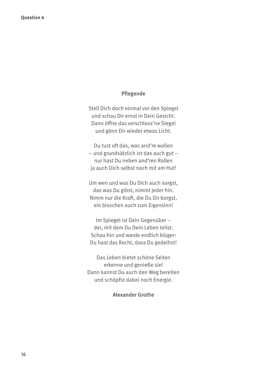#### Pflegende

Stell Dich doch einmal vor den Spiegel und schau Dir ernst in Dein Gesicht. Dann öffne das verschloss'ne Siegel und gönn Dir wieder etwas Licht.

Du tust oft das, was and're wollen – und grundsätzlich ist das auch gut – nur hast Du neben and'ren Rollen ja auch Dich selbst noch mit am Hut!

Um wen und was Du Dich auch sorgst, das was Du gibst, nimmt jeder hin. Nimm nur die Kraft, die Du Dir borgst, ein bisschen auch zum Eigensinn!

Im Spiegel ist Dein Gegenüber – der, mit dem Du Dein Leben teilst. Schau hin und werde endlich klüger: Du hast das Recht, dass Du gedeihst!

Das Leben bietet schöne Seiten erkenne und genieße sie! Dann kannst Du auch den Weg bereiten und schöpfst dabei noch Energie.

#### Alexander Grothe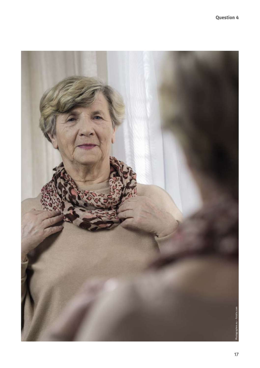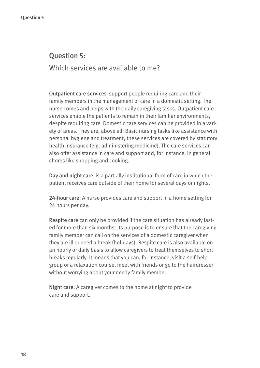### Question 5:

Which services are available to me?

Outpatient care services support people requiring care and their family members in the management of care in a domestic setting. The nurse comes and helps with the daily caregiving tasks. Outpatient care services enable the patients to remain in their familiar environments, despite requiring care. Domestic care services can be provided in a variety of areas. They are, above all: Basic nursing tasks like assistance with personal hygiene and treatment; these services are covered by statutory health insurance (e.g. administering medicine). The care services can also offer assistance in care and support and, for instance, in general chores like shopping and cooking.

Day and night care is a partially institutional form of care in which the patient receives care outside of their home for several days or nights.

24-hour care: A nurse provides care and support in a home setting for 24 hours per day.

Respite care can only be provided if the care situation has already lasted for more than six months. Its purpose is to ensure that the caregiving family member can call on the services of a domestic caregiver when they are ill or need a break (holidays). Respite care is also available on an hourly or daily basis to allow caregivers to treat themselves to short breaks regularly. It means that you can, for instance, visit a self-help group or a relaxation course, meet with friends or go to the hairdresser without worrying about your needy family member.

Night care: A caregiver comes to the home at night to provide care and support.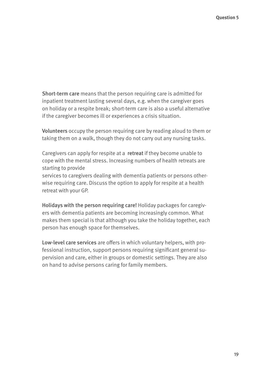Short-term care means that the person requiring care is admitted for inpatient treatment lasting several days, e.g. when the caregiver goes on holiday or a respite break; short-term care is also a useful alternative if the caregiver becomes ill or experiences a crisis situation.

Volunteers occupy the person requiring care by reading aloud to them or taking them on a walk, though they do not carry out any nursing tasks.

Caregivers can apply for respite at a retreat if they become unable to cope with the mental stress. Increasing numbers of health retreats are starting to provide

services to caregivers dealing with dementia patients or persons otherwise requiring care. Discuss the option to apply for respite at a health retreat with your GP.

Holidays with the person requiring care! Holiday packages for caregivers with dementia patients are becoming increasingly common. What makes them special is that although you take the holiday together, each person has enough space for themselves.

Low-level care services are offers in which voluntary helpers, with professional instruction, support persons requiring significant general supervision and care, either in groups or domestic settings. They are also on hand to advise persons caring for family members.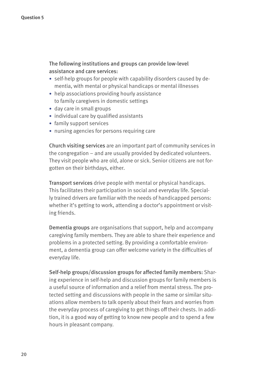#### The following institutions and groups can provide low-level assistance and care services:

- self-help groups for people with capability disorders caused by dementia, with mental or physical handicaps or mental illnesses
- help associations providing hourly assistance to family caregivers in domestic settings
- day care in small groups
- individual care by qualified assistants
- family support services
- nursing agencies for persons requiring care

Church visiting services are an important part of community services in the congregation – and are usually provided by dedicated volunteers. They visit people who are old, alone or sick. Senior citizens are not forgotten on their birthdays, either.

Transport services drive people with mental or physical handicaps. This facilitates their participation in social and everyday life. Specially trained drivers are familiar with the needs of handicapped persons: whether it's getting to work, attending a doctor's appointment or visiting friends.

Dementia groups are organisations that support, help and accompany caregiving family members. They are able to share their experience and problems in a protected setting. By providing a comfortable environment, a dementia group can offer welcome variety in the difficulties of everyday life.

Self-help groups/discussion groups for affected family members: Sharing experience in self-help and discussion groups for family members is a useful source of information and a relief from mental stress. The protected setting and discussions with people in the same or similar situations allow members to talk openly about their fears and worries from the everyday process of caregiving to get things off their chests. In addition, it is a good way of getting to know new people and to spend a few hours in pleasant company.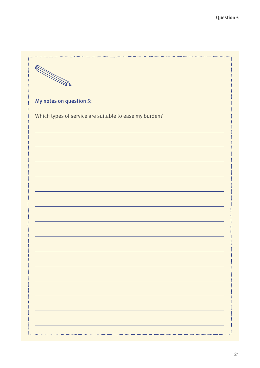| <b>Contract on the Contract of the Contract of The Contract of The Contract of The Contract of The Contract of The Contract of The Contract of The Contract of The Contract of The Contract of The Contract of The Contract of T</b> |
|--------------------------------------------------------------------------------------------------------------------------------------------------------------------------------------------------------------------------------------|
| My notes on question 5:                                                                                                                                                                                                              |
| Which types of service are suitable to ease my burden?                                                                                                                                                                               |
|                                                                                                                                                                                                                                      |
|                                                                                                                                                                                                                                      |
|                                                                                                                                                                                                                                      |
|                                                                                                                                                                                                                                      |
|                                                                                                                                                                                                                                      |
|                                                                                                                                                                                                                                      |
|                                                                                                                                                                                                                                      |
|                                                                                                                                                                                                                                      |
|                                                                                                                                                                                                                                      |
|                                                                                                                                                                                                                                      |
|                                                                                                                                                                                                                                      |
|                                                                                                                                                                                                                                      |
|                                                                                                                                                                                                                                      |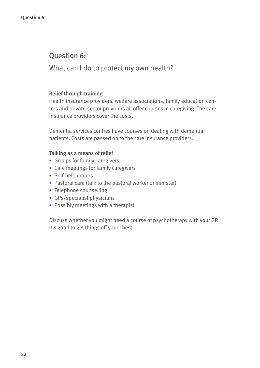## Question 6:

What can I do to protect my own health?

#### Relief through training

Health insurance providers, welfare associations, family education centres and private-sector providers all offer courses in caregiving. The care insurance providers cover the costs.

Dementia services centres have courses on dealing with dementia patients. Costs are passed on to the care insurance providers.

#### Talking as a means of relief

- Groups for family caregivers
- Café meetings for family caregivers
- Self-help groups
- Pastoral care (talk to the pastoral worker or minister)
- Telephone counselling
- GPs/specialist physicians
- Possibly meetings with a therapist

Discuss whether you might need a course of psychotherapy with your GP. It's good to get things off your chest!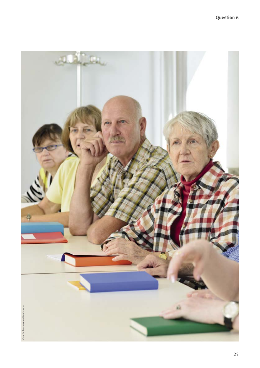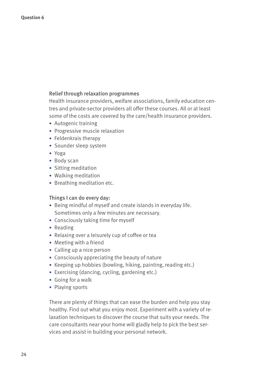#### Relief through relaxation programmes

Health insurance providers, welfare associations, family education centres and private-sector providers all offer these courses. All or at least some of the costs are covered by the care/health insurance providers.

- Autogenic training
- Progressive muscle relaxation
- Feldenkrais therapy
- Sounder sleep system
- Yoga
- Body scan
- Sitting meditation
- Walking meditation
- Breathing meditation etc.

#### Things I can do every day:

- Being mindful of myself and create islands in everyday life. Sometimes only a few minutes are necessary.
- Consciously taking time for myself
- Reading
- Relaxing over a leisurely cup of coffee or tea
- Meeting with a friend
- Calling up a nice person
- Consciously appreciating the beauty of nature
- Keeping up hobbies (bowling, hiking, painting, reading etc.)
- Exercising (dancing, cycling, gardening etc.)
- Going for a walk
- Playing sports

There are plenty of things that can ease the burden and help you stay healthy. Find out what you enjoy most. Experiment with a variety of relaxation techniques to discover the course that suits your needs. The care consultants near your home will gladly help to pick the best services and assist in building your personal network.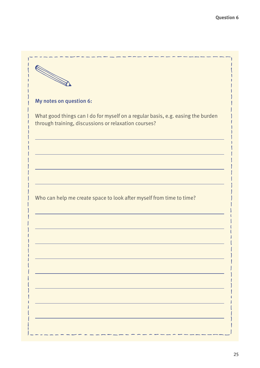| <b>Contract on the Contract of The Contract of The Contract of The Contract of The Contract of The Contract of The Contract of The Contract of The Contract of The Contract of The Contract of The Contract of The Contract of T</b> |                                                                                                                                         |
|--------------------------------------------------------------------------------------------------------------------------------------------------------------------------------------------------------------------------------------|-----------------------------------------------------------------------------------------------------------------------------------------|
| My notes on question 6:                                                                                                                                                                                                              |                                                                                                                                         |
|                                                                                                                                                                                                                                      | What good things can I do for myself on a regular basis, e.g. easing the burden<br>through training, discussions or relaxation courses? |
|                                                                                                                                                                                                                                      |                                                                                                                                         |
|                                                                                                                                                                                                                                      |                                                                                                                                         |
|                                                                                                                                                                                                                                      | Who can help me create space to look after myself from time to time?                                                                    |
|                                                                                                                                                                                                                                      |                                                                                                                                         |
|                                                                                                                                                                                                                                      |                                                                                                                                         |
|                                                                                                                                                                                                                                      |                                                                                                                                         |
|                                                                                                                                                                                                                                      |                                                                                                                                         |
|                                                                                                                                                                                                                                      |                                                                                                                                         |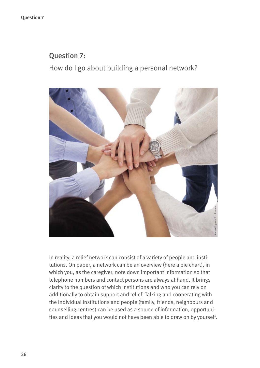### Question 7:

How do I go about building a personal network?



In reality, a relief network can consist of a variety of people and institutions. On paper, a network can be an overview (here a pie chart), in which you, as the caregiver, note down important information so that telephone numbers and contact persons are always at hand. It brings clarity to the question of which institutions and who you can rely on additionally to obtain support and relief. Talking and cooperating with the individual institutions and people (family, friends, neighbours and counselling centres) can be used as a source of information, opportunities and ideas that you would not have been able to draw on by yourself.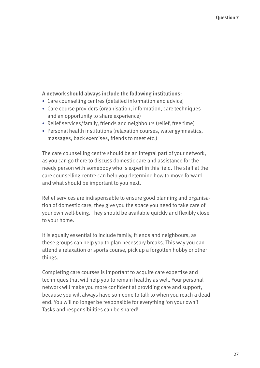#### A network should always include the following institutions:

- Care counselling centres (detailed information and advice)
- Care course providers (organisation, information, care techniques and an opportunity to share experience)
- Relief services/family, friends and neighbours (relief, free time)
- Personal health institutions (relaxation courses, water gymnastics, massages, back exercises, friends to meet etc.)

The care counselling centre should be an integral part of your network, as you can go there to discuss domestic care and assistance for the needy person with somebody who is expert in this field. The staff at the care counselling centre can help you determine how to move forward and what should be important to you next.

Relief services are indispensable to ensure good planning and organisation of domestic care; they give you the space you need to take care of your own well-being. They should be available quickly and flexibly close to your home.

It is equally essential to include family, friends and neighbours, as these groups can help you to plan necessary breaks. This way you can attend a relaxation or sports course, pick up a forgotten hobby or other things.

Completing care courses is important to acquire care expertise and techniques that will help you to remain healthy as well. Your personal network will make you more confident at providing care and support, because you will always have someone to talk to when you reach a dead end. You will no longer be responsible for everything 'on your own'! Tasks and responsibilities can be shared!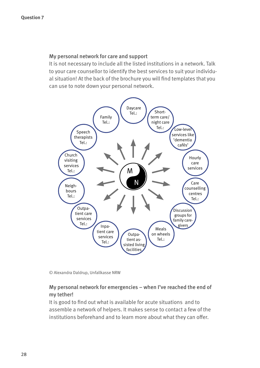#### My personal network for care and support

It is not necessary to include all the listed institutions in a network. Talk to your care counsellor to identify the best services to suit your individual situation! At the back of the brochure you will find templates that you can use to note down your personal network.



© Alexandra Daldrup, Unfallkasse NRW

#### My personal network for emergencies – when I've reached the end of my tether!

It is good to find out what is available for acute situations and to assemble a network of helpers. It makes sense to contact a few of the institutions beforehand and to learn more about what they can offer.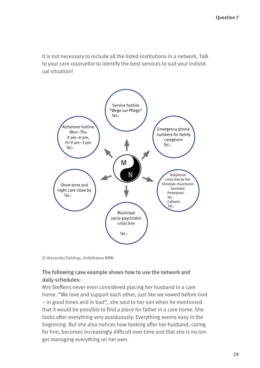It is not necessary to include all the listed institutions in a network. Talk to your care counsellor to identify the best services to suit your individual situation!



© Alexandra Daldrup, Unfallkasse NRW

#### The following case example shows how to use the network and daily schedules:

Mrs Steffens never even considered placing her husband in a care home. "We love and support each other, just like we vowed before God – in good times and in bad", she said to her son when he mentioned that it would be possible to find a place for father in a care home. She looks after everything very assiduously. Everything seems easy in the beginning. But she also notices how looking after her husband, caring for him, becomes increasingly difficult over time and that she is no longer managing everything on her own.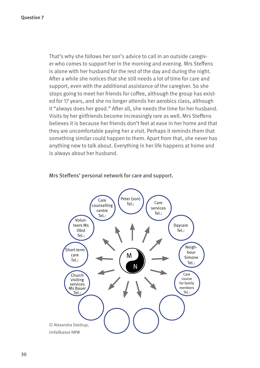That's why she follows her son's advice to call in an outside caregiver who comes to support her in the morning and evening. Mrs Steffens is alone with her husband for the rest of the day and during the night. After a while she notices that she still needs a lot of time for care and support, even with the additional assistance of the caregiver. So she stops going to meet her friends for coffee, although the group has existed for 17 years, and she no longer attends her aerobics class, although it "always does her good." After all, she needs the time for her husband. Visits by her girlfriends become increasingly rare as well. Mrs Steffens believes it is because her friends don't feel at ease in her home and that they are uncomfortable paying her a visit. Perhaps it reminds them that something similar could happen to them. Apart from that, she never has anything new to talk about. Everything in her life happens at home and is always about her husband.



Mrs Steffens' personal network for care and support.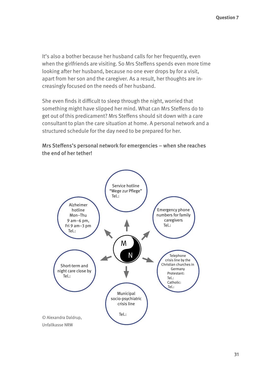It's also a bother because her husband calls for her frequently, even when the girlfriends are visiting. So Mrs Steffens spends even more time looking after her husband, because no one ever drops by for a visit, apart from her son and the caregiver. As a result, her thoughts are increasingly focused on the needs of her husband.

She even finds it difficult to sleep through the night, worried that something might have slipped her mind. What can Mrs Steffens do to get out of this predicament? Mrs Steffens should sit down with a care consultant to plan the care situation at home. A personal network and a structured schedule for the day need to be prepared for her.

Mrs Steffens's personal network for emergencies – when she reaches the end of her tether!

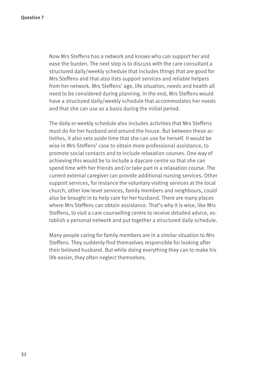Now Mrs Steffens has a network and knows who can support her and ease the burden. The next step is to discuss with the care consultant a structured daily/weekly schedule that includes things that are good for Mrs Steffens and that also lists support services and reliable helpers from her network. Mrs Steffens' age, life situation, needs and health all need to be considered during planning. In the end, Mrs Steffens would have a structured daily/weekly schedule that accommodates her needs and that she can use as a basis during the initial period.

The daily or weekly schedule also includes activities that Mrs Steffens must do for her husband and around the house. But between these activities, it also sets aside time that she can use for herself. It would be wise in Mrs Steffens' case to obtain more professional assistance, to promote social contacts and to include relaxation courses. One way of achieving this would be to include a daycare centre so that she can spend time with her friends and/or take part in a relaxation course. The current external caregiver can provide additional nursing services. Other support services, for instance the voluntary visiting services at the local church, other low-level services, family members and neighbours, could also be brought in to help care for her husband. There are many places where Mrs Steffens can obtain assistance. That's why it is wise, like Mrs Steffens, to visit a care counselling centre to receive detailed advice, establish a personal network and put together a structured daily schedule.

Many people caring for family members are in a similar situation to Mrs Steffens. They suddenly find themselves responsible for looking after their beloved husband. But while doing everything they can to make his life easier, they often neglect themselves.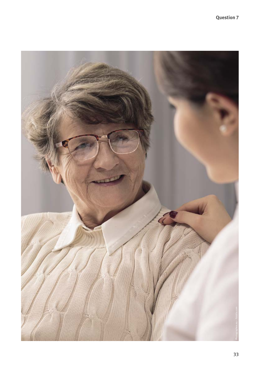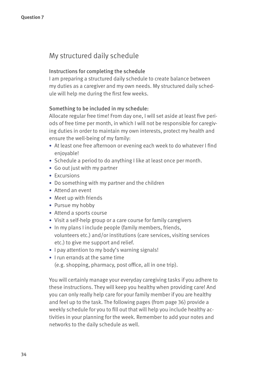## My structured daily schedule

#### Instructions for completing the schedule

I am preparing a structured daily schedule to create balance between my duties as a caregiver and my own needs. My structured daily schedule will help me during the first few weeks.

#### Something to be included in my schedule:

Allocate regular free time! From day one, I will set aside at least five periods of free time per month, in which I will not be responsible for caregiving duties in order to maintain my own interests, protect my health and ensure the well-being of my family:

- At least one free afternoon or evening each week to do whatever I find enjoyable!
- Schedule a period to do anything I like at least once per month.
- Go out just with my partner
- Excursions
- Do something with my partner and the children
- Attend an event
- Meet up with friends
- Pursue my hobby
- Attend a sports course
- Visit a self-help group or a care course for family caregivers
- In my plans I include people (family members, friends, volunteers etc.) and/or institutions (care services, visiting services etc.) to give me support and relief.
- I pay attention to my body's warning signals!
- I run errands at the same time

(e.g. shopping, pharmacy, post office, all in one trip).

You will certainly manage your everyday caregiving tasks if you adhere to these instructions. They will keep you healthy when providing care! And you can only really help care for your family member if you are healthy and feel up to the task. The following pages (from page 36) provide a weekly schedule for you to fill out that will help you include healthy activities in your planning for the week. Remember to add your notes and networks to the daily schedule as well.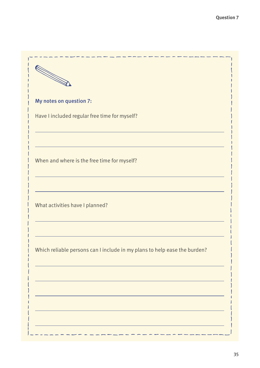| <b>Contract on the Contract of the Contract of The Contract of The Contract of The Contract of The Contract of The Contract of The Contract of The Contract of The Contract of The Contract of The Contract of The Contract of T</b> |  |
|--------------------------------------------------------------------------------------------------------------------------------------------------------------------------------------------------------------------------------------|--|
| My notes on question 7:                                                                                                                                                                                                              |  |
| Have I included regular free time for myself?                                                                                                                                                                                        |  |
|                                                                                                                                                                                                                                      |  |
| When and where is the free time for myself?                                                                                                                                                                                          |  |
| What activities have I planned?                                                                                                                                                                                                      |  |
|                                                                                                                                                                                                                                      |  |
| Which reliable persons can I include in my plans to help ease the burden?                                                                                                                                                            |  |
|                                                                                                                                                                                                                                      |  |
|                                                                                                                                                                                                                                      |  |
|                                                                                                                                                                                                                                      |  |
|                                                                                                                                                                                                                                      |  |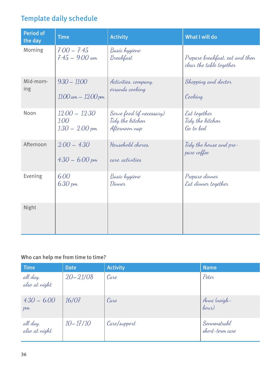## Template daily schedule

| <b>Period of</b><br>the day | <b>Time</b>            | <b>Activity</b>           | What I will do                  |
|-----------------------------|------------------------|---------------------------|---------------------------------|
| Morning                     | $7:00 - 7:45$          | Basic hygiene             | Prepare breakfast, eat and then |
|                             | $7:45 - 9:00$ am       | Breakfast                 | clear the table together        |
| Mid-morn-                   | $9.30 - 11.00$         | Activities, company,      | Shopping and doctor             |
| ing                         | $11.00$ am $-12.00$ pm | errands cooking           | Cooking                         |
| Noon                        | $12:00 - 12:30$        | Serve food (if necessary) | Eat together                    |
|                             | 1:00                   | Tidy the kitchen          | Tidy the kitchen                |
|                             | $1.30 - 2.00$ pm       | Afternoon nap             | Go to bed                       |
| Afternoon                   | $2:00 - 4:30$          | Household chores,         | Tidy the house and pre-         |
|                             | $4.30 - 6.00$ pm       | care, activities          | pare coffee                     |
| Evening                     | 6:00                   | Basic hygiene             | Prepare dinner                  |
|                             | $6.30 \, \text{pm}$    | Dinner                    | Eat dinner together             |
| Night                       |                        |                           |                                 |

### Who can help me from time to time?

| <b>Time</b>               | <b>Date</b>  | <b>Activity</b> | <b>Name</b>                     |
|---------------------------|--------------|-----------------|---------------------------------|
| all day,<br>also at night | $20 - 21/08$ | Care            | Peter                           |
| $4.30 - 6.00$<br>pm       | 16/07        | Care            | Anni (neigh-<br>bour)           |
| all day,<br>also at night | $10 - 17/10$ | Care/support    | Sonnenstrahl<br>short-term care |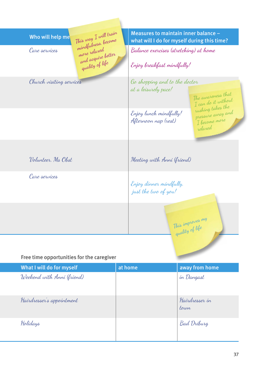| Who will help me         | This way I will train<br>mindfulness. become | Measures to maintain inner balance -<br>what will I do for myself during this time? |                                           |
|--------------------------|----------------------------------------------|-------------------------------------------------------------------------------------|-------------------------------------------|
| Care services            | more relaxed                                 | Balance exercises (stretching) at home                                              |                                           |
|                          | and acquire better<br>quality of life        | Enjoy breakfast mindfully!                                                          |                                           |
| Church visiting services |                                              | Go shopping and to the doctor                                                       |                                           |
|                          |                                              | at a leisurely pace!                                                                | The awareness that<br>I can do it without |
|                          |                                              | Enjoy lunch mindfully!                                                              | rushing takes the<br>pressure away and    |
|                          |                                              | Afternoon nap (rest)                                                                | I become more<br>relaxed                  |
|                          |                                              |                                                                                     |                                           |
|                          |                                              |                                                                                     |                                           |
| Volunteer, Ms Obst       |                                              | Meeting with Anni (friend)                                                          |                                           |
| Care services            |                                              |                                                                                     |                                           |
|                          |                                              | Enjoy dinner mindfully,<br>just the two of you!                                     |                                           |
|                          |                                              |                                                                                     |                                           |
|                          |                                              |                                                                                     |                                           |
|                          |                                              |                                                                                     | This improves my                          |
|                          |                                              |                                                                                     |                                           |
|                          | Free time opportunities for the caregiver    |                                                                                     |                                           |

### Free time opportunities for the caregiver

| What I will do for myself  | at home | away from home         |
|----------------------------|---------|------------------------|
| Weekend with Anni (friend) |         | in Dangast             |
|                            |         |                        |
| Hairdresser's appointment  |         | Hairdresser in<br>town |
|                            |         |                        |
| Holidays                   |         | Bad Driburg            |
|                            |         |                        |
|                            |         |                        |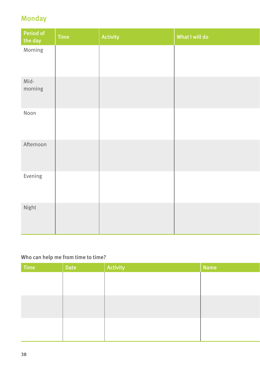## Monday

| Period of<br>the day | Time | Activity | What I will do |
|----------------------|------|----------|----------------|
| Morning              |      |          |                |
|                      |      |          |                |
| Mid-<br>morning      |      |          |                |
| Noon                 |      |          |                |
| Afternoon            |      |          |                |
| Evening              |      |          |                |
| Night                |      |          |                |

### Who can help me from time to time?

| Date | Activity | Name |
|------|----------|------|
|      |          |      |
|      |          |      |
|      |          |      |
|      |          |      |
|      |          |      |
|      |          |      |
|      |          |      |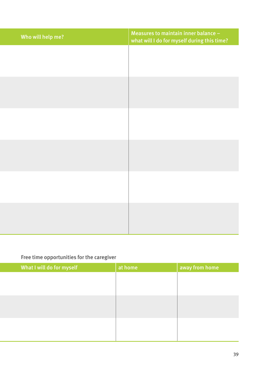| Who will help me? | Measures to maintain inner balance $-$<br>what will I do for myself during this time? |
|-------------------|---------------------------------------------------------------------------------------|
|                   |                                                                                       |
|                   |                                                                                       |
|                   |                                                                                       |
|                   |                                                                                       |
|                   |                                                                                       |
|                   |                                                                                       |
|                   |                                                                                       |
|                   |                                                                                       |
|                   |                                                                                       |
|                   |                                                                                       |
|                   |                                                                                       |
|                   |                                                                                       |

#### Free time opportunities for the caregiver

| What I will do for myself<br>at home<br>away from home |  |
|--------------------------------------------------------|--|
|                                                        |  |
|                                                        |  |
|                                                        |  |
|                                                        |  |
|                                                        |  |
|                                                        |  |
|                                                        |  |
|                                                        |  |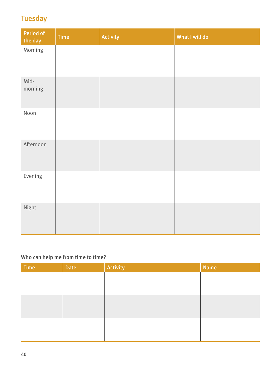## Tuesday

| Period of<br>the day | Time | Activity | What I will do |
|----------------------|------|----------|----------------|
| Morning              |      |          |                |
|                      |      |          |                |
| Mid-<br>morning      |      |          |                |
| Noon                 |      |          |                |
| Afternoon            |      |          |                |
| Evening              |      |          |                |
| Night                |      |          |                |

### Who can help me from time to time?

| Time | <b>Date</b> | <b>Activity</b> | Name |
|------|-------------|-----------------|------|
|      |             |                 |      |
|      |             |                 |      |
|      |             |                 |      |
|      |             |                 |      |
|      |             |                 |      |
|      |             |                 |      |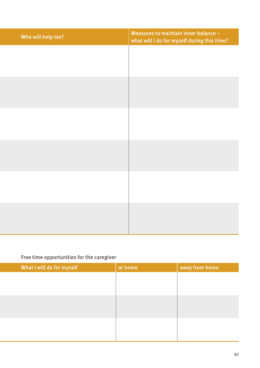| Who will help me? | Measures to maintain inner balance –<br>what will I do for myself during this time? |
|-------------------|-------------------------------------------------------------------------------------|
|                   |                                                                                     |
|                   |                                                                                     |
|                   |                                                                                     |
|                   |                                                                                     |
|                   |                                                                                     |
|                   |                                                                                     |
|                   |                                                                                     |
|                   |                                                                                     |
|                   |                                                                                     |
|                   |                                                                                     |
|                   |                                                                                     |

#### Free time opportunities for the caregiver

| at home<br>away from home<br>What I will do for myself |  |
|--------------------------------------------------------|--|
|                                                        |  |
|                                                        |  |
|                                                        |  |
|                                                        |  |
|                                                        |  |
|                                                        |  |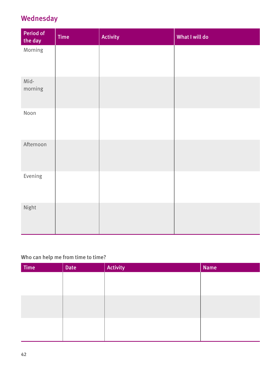## **Wednesday**

| Period of<br>the day | Time | <b>Activity</b> | What I will do |
|----------------------|------|-----------------|----------------|
| Morning              |      |                 |                |
|                      |      |                 |                |
| Mid-<br>morning      |      |                 |                |
| Noon                 |      |                 |                |
|                      |      |                 |                |
| Afternoon            |      |                 |                |
|                      |      |                 |                |
| Evening              |      |                 |                |
|                      |      |                 |                |
| Night                |      |                 |                |
|                      |      |                 |                |

### Who can help me from time to time?

| Time | Date | Activity | <b>Name</b> |
|------|------|----------|-------------|
|      |      |          |             |
|      |      |          |             |
|      |      |          |             |
|      |      |          |             |
|      |      |          |             |
|      |      |          |             |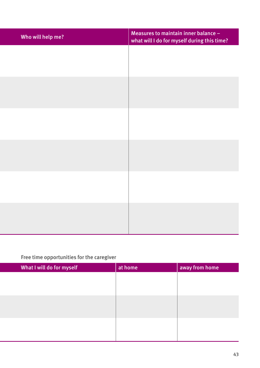| Who will help me? | Measures to maintain inner balance -<br>what will I do for myself during this time? |
|-------------------|-------------------------------------------------------------------------------------|
|                   |                                                                                     |
|                   |                                                                                     |
|                   |                                                                                     |
|                   |                                                                                     |
|                   |                                                                                     |
|                   |                                                                                     |
|                   |                                                                                     |
|                   |                                                                                     |
|                   |                                                                                     |
|                   |                                                                                     |
|                   |                                                                                     |

#### Free time opportunities for the caregiver

| What I will do for myself | at home | away from home |
|---------------------------|---------|----------------|
|                           |         |                |
|                           |         |                |
|                           |         |                |
|                           |         |                |
|                           |         |                |
|                           |         |                |
|                           |         |                |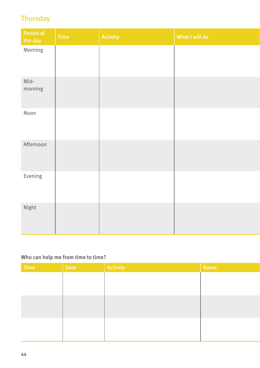## **Thursday**

| Period of<br>the day | Time | Activity | What I will do |
|----------------------|------|----------|----------------|
| Morning              |      |          |                |
|                      |      |          |                |
| Mid-<br>morning      |      |          |                |
| Noon                 |      |          |                |
| Afternoon            |      |          |                |
| Evening              |      |          |                |
| Night                |      |          |                |

### Who can help me from time to time?

| Time | <b>Date</b> | Activity | Name |
|------|-------------|----------|------|
|      |             |          |      |
|      |             |          |      |
|      |             |          |      |
|      |             |          |      |
|      |             |          |      |
|      |             |          |      |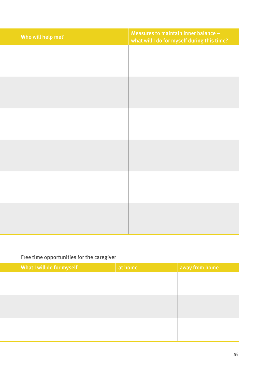| Who will help me? | Measures to maintain inner balance -<br>what will I do for myself during this time? |
|-------------------|-------------------------------------------------------------------------------------|
|                   |                                                                                     |
|                   |                                                                                     |
|                   |                                                                                     |
|                   |                                                                                     |
|                   |                                                                                     |
|                   |                                                                                     |
|                   |                                                                                     |
|                   |                                                                                     |
|                   |                                                                                     |
|                   |                                                                                     |
|                   |                                                                                     |

#### Free time opportunities for the caregiver

| What I will do for myself | at home | away from home |
|---------------------------|---------|----------------|
|                           |         |                |
|                           |         |                |
|                           |         |                |
|                           |         |                |
|                           |         |                |
|                           |         |                |
|                           |         |                |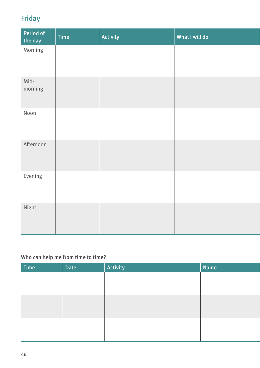## Friday

| Period of<br>the day | Time | $ $ Activity | What I will do |
|----------------------|------|--------------|----------------|
| Morning              |      |              |                |
|                      |      |              |                |
| Mid-<br>morning      |      |              |                |
| Noon                 |      |              |                |
| Afternoon            |      |              |                |
| Evening              |      |              |                |
| Night                |      |              |                |

### Who can help me from time to time?

| Activity | Name |
|----------|------|
|          |      |
|          |      |
|          |      |
|          |      |
|          |      |
|          |      |
| Date     |      |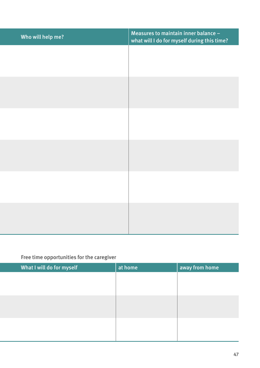| Who will help me? | Measures to maintain inner balance -<br>what will I do for myself during this time? |
|-------------------|-------------------------------------------------------------------------------------|
|                   |                                                                                     |
|                   |                                                                                     |
|                   |                                                                                     |
|                   |                                                                                     |
|                   |                                                                                     |
|                   |                                                                                     |
|                   |                                                                                     |
|                   |                                                                                     |
|                   |                                                                                     |
|                   |                                                                                     |
|                   |                                                                                     |

#### Free time opportunities for the caregiver

| What I will do for myself | at home | away from home |
|---------------------------|---------|----------------|
|                           |         |                |
|                           |         |                |
|                           |         |                |
|                           |         |                |
|                           |         |                |
|                           |         |                |
|                           |         |                |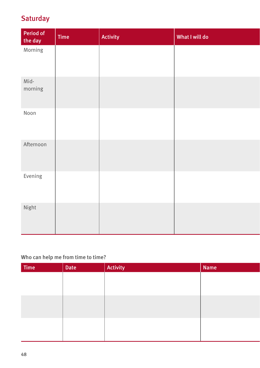## **Saturday**

| Period of<br>the day | Time | Activity | What I will do |
|----------------------|------|----------|----------------|
| Morning              |      |          |                |
|                      |      |          |                |
| Mid-<br>morning      |      |          |                |
| Noon                 |      |          |                |
| Afternoon            |      |          |                |
| Evening              |      |          |                |
| Night                |      |          |                |

### Who can help me from time to time?

| Time | <b>Date</b> | Activity | <b>Name</b> |
|------|-------------|----------|-------------|
|      |             |          |             |
|      |             |          |             |
|      |             |          |             |
|      |             |          |             |
|      |             |          |             |
|      |             |          |             |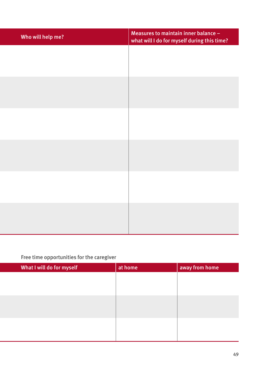| Who will help me? | Measures to maintain inner balance -<br>what will I do for myself during this time? |
|-------------------|-------------------------------------------------------------------------------------|
|                   |                                                                                     |
|                   |                                                                                     |
|                   |                                                                                     |
|                   |                                                                                     |
|                   |                                                                                     |
|                   |                                                                                     |
|                   |                                                                                     |
|                   |                                                                                     |
|                   |                                                                                     |
|                   |                                                                                     |
|                   |                                                                                     |

#### Free time opportunities for the caregiver

| What I will do for myself | at home | away from home |
|---------------------------|---------|----------------|
|                           |         |                |
|                           |         |                |
|                           |         |                |
|                           |         |                |
|                           |         |                |
|                           |         |                |
|                           |         |                |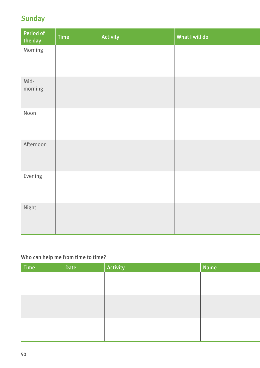## **Sunday**

| Period of<br>the day | $\vert$ Time | Activity | What I will do |
|----------------------|--------------|----------|----------------|
| Morning              |              |          |                |
|                      |              |          |                |
| Mid-<br>morning      |              |          |                |
| Noon                 |              |          |                |
| Afternoon            |              |          |                |
| Evening              |              |          |                |
| Night                |              |          |                |

### Who can help me from time to time?

| Time | Date | <b>Activity</b> | <b>Name</b> |
|------|------|-----------------|-------------|
|      |      |                 |             |
|      |      |                 |             |
|      |      |                 |             |
|      |      |                 |             |
|      |      |                 |             |
|      |      |                 |             |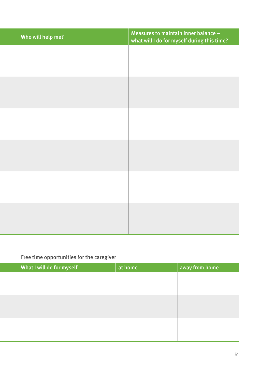| Who will help me? | Measures to maintain inner balance –<br>  what will I do for myself during this time? |
|-------------------|---------------------------------------------------------------------------------------|
|                   |                                                                                       |
|                   |                                                                                       |
|                   |                                                                                       |
|                   |                                                                                       |
|                   |                                                                                       |
|                   |                                                                                       |
|                   |                                                                                       |
|                   |                                                                                       |
|                   |                                                                                       |
|                   |                                                                                       |
|                   |                                                                                       |

#### Free time opportunities for the caregiver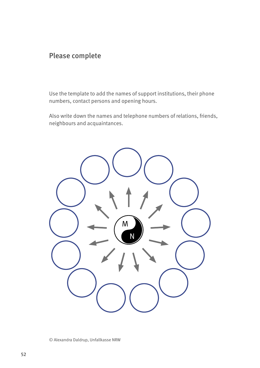### Please complete

Use the template to add the names of support institutions, their phone numbers, contact persons and opening hours.

Also write down the names and telephone numbers of relations, friends, neighbours and acquaintances.



© Alexandra Daldrup, Unfallkasse NRW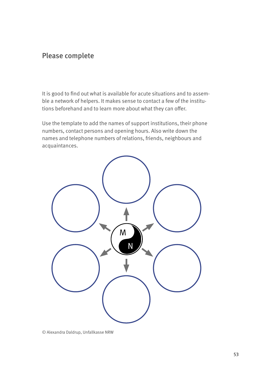## Please complete

It is good to find out what is available for acute situations and to assemble a network of helpers. It makes sense to contact a few of the institutions beforehand and to learn more about what they can offer.

Use the template to add the names of support institutions, their phone numbers, contact persons and opening hours. Also write down the names and telephone numbers of relations, friends, neighbours and acquaintances.



© Alexandra Daldrup, Unfallkasse NRW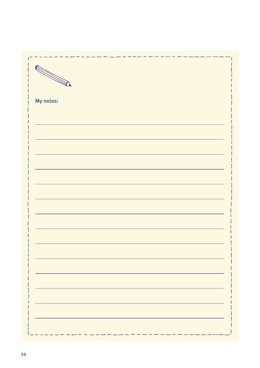| <b>Contract on the Contract of the Contract of The Contract of The Contract of The Contract of The Contract of The Contract of The Contract of The Contract of The Contract of The Contract of The Contract of The Contract of T</b> |
|--------------------------------------------------------------------------------------------------------------------------------------------------------------------------------------------------------------------------------------|
|                                                                                                                                                                                                                                      |
|                                                                                                                                                                                                                                      |
|                                                                                                                                                                                                                                      |
|                                                                                                                                                                                                                                      |
|                                                                                                                                                                                                                                      |
|                                                                                                                                                                                                                                      |
|                                                                                                                                                                                                                                      |
|                                                                                                                                                                                                                                      |
|                                                                                                                                                                                                                                      |
|                                                                                                                                                                                                                                      |
|                                                                                                                                                                                                                                      |
|                                                                                                                                                                                                                                      |
|                                                                                                                                                                                                                                      |
| My notes:                                                                                                                                                                                                                            |
|                                                                                                                                                                                                                                      |
|                                                                                                                                                                                                                                      |
|                                                                                                                                                                                                                                      |
|                                                                                                                                                                                                                                      |
|                                                                                                                                                                                                                                      |
|                                                                                                                                                                                                                                      |
|                                                                                                                                                                                                                                      |
|                                                                                                                                                                                                                                      |
|                                                                                                                                                                                                                                      |
|                                                                                                                                                                                                                                      |
|                                                                                                                                                                                                                                      |
|                                                                                                                                                                                                                                      |
|                                                                                                                                                                                                                                      |
|                                                                                                                                                                                                                                      |
|                                                                                                                                                                                                                                      |
|                                                                                                                                                                                                                                      |
|                                                                                                                                                                                                                                      |
|                                                                                                                                                                                                                                      |
|                                                                                                                                                                                                                                      |
|                                                                                                                                                                                                                                      |
|                                                                                                                                                                                                                                      |
|                                                                                                                                                                                                                                      |
|                                                                                                                                                                                                                                      |
|                                                                                                                                                                                                                                      |
|                                                                                                                                                                                                                                      |
|                                                                                                                                                                                                                                      |
|                                                                                                                                                                                                                                      |
|                                                                                                                                                                                                                                      |
|                                                                                                                                                                                                                                      |
|                                                                                                                                                                                                                                      |
|                                                                                                                                                                                                                                      |
|                                                                                                                                                                                                                                      |
|                                                                                                                                                                                                                                      |
|                                                                                                                                                                                                                                      |
|                                                                                                                                                                                                                                      |
|                                                                                                                                                                                                                                      |
|                                                                                                                                                                                                                                      |
|                                                                                                                                                                                                                                      |
|                                                                                                                                                                                                                                      |
|                                                                                                                                                                                                                                      |
|                                                                                                                                                                                                                                      |
|                                                                                                                                                                                                                                      |
|                                                                                                                                                                                                                                      |
|                                                                                                                                                                                                                                      |
|                                                                                                                                                                                                                                      |
|                                                                                                                                                                                                                                      |
|                                                                                                                                                                                                                                      |
|                                                                                                                                                                                                                                      |
|                                                                                                                                                                                                                                      |
|                                                                                                                                                                                                                                      |
|                                                                                                                                                                                                                                      |
|                                                                                                                                                                                                                                      |
|                                                                                                                                                                                                                                      |
|                                                                                                                                                                                                                                      |
|                                                                                                                                                                                                                                      |
|                                                                                                                                                                                                                                      |
|                                                                                                                                                                                                                                      |
|                                                                                                                                                                                                                                      |
|                                                                                                                                                                                                                                      |
|                                                                                                                                                                                                                                      |
|                                                                                                                                                                                                                                      |
|                                                                                                                                                                                                                                      |
|                                                                                                                                                                                                                                      |
|                                                                                                                                                                                                                                      |
|                                                                                                                                                                                                                                      |
|                                                                                                                                                                                                                                      |
|                                                                                                                                                                                                                                      |
|                                                                                                                                                                                                                                      |
|                                                                                                                                                                                                                                      |
|                                                                                                                                                                                                                                      |
|                                                                                                                                                                                                                                      |
|                                                                                                                                                                                                                                      |
|                                                                                                                                                                                                                                      |
|                                                                                                                                                                                                                                      |
|                                                                                                                                                                                                                                      |
|                                                                                                                                                                                                                                      |
|                                                                                                                                                                                                                                      |
|                                                                                                                                                                                                                                      |
|                                                                                                                                                                                                                                      |
|                                                                                                                                                                                                                                      |
|                                                                                                                                                                                                                                      |
|                                                                                                                                                                                                                                      |
|                                                                                                                                                                                                                                      |
|                                                                                                                                                                                                                                      |
|                                                                                                                                                                                                                                      |
|                                                                                                                                                                                                                                      |
|                                                                                                                                                                                                                                      |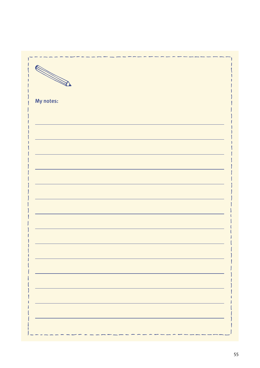| <b>Contract on the Contract of the Contract of The Contract of The Contract of The Contract of The Contract of The Contract of The Contract of The Contract of The Contract of The Contract of The Contract of The Contract of T</b> |
|--------------------------------------------------------------------------------------------------------------------------------------------------------------------------------------------------------------------------------------|
|                                                                                                                                                                                                                                      |
|                                                                                                                                                                                                                                      |
|                                                                                                                                                                                                                                      |
|                                                                                                                                                                                                                                      |
|                                                                                                                                                                                                                                      |
|                                                                                                                                                                                                                                      |
|                                                                                                                                                                                                                                      |
| My notes:                                                                                                                                                                                                                            |
|                                                                                                                                                                                                                                      |
|                                                                                                                                                                                                                                      |
|                                                                                                                                                                                                                                      |
|                                                                                                                                                                                                                                      |
|                                                                                                                                                                                                                                      |
|                                                                                                                                                                                                                                      |
|                                                                                                                                                                                                                                      |
|                                                                                                                                                                                                                                      |
|                                                                                                                                                                                                                                      |
|                                                                                                                                                                                                                                      |
|                                                                                                                                                                                                                                      |
|                                                                                                                                                                                                                                      |
|                                                                                                                                                                                                                                      |
|                                                                                                                                                                                                                                      |
|                                                                                                                                                                                                                                      |
|                                                                                                                                                                                                                                      |
|                                                                                                                                                                                                                                      |
|                                                                                                                                                                                                                                      |
|                                                                                                                                                                                                                                      |
|                                                                                                                                                                                                                                      |
|                                                                                                                                                                                                                                      |
|                                                                                                                                                                                                                                      |
|                                                                                                                                                                                                                                      |
|                                                                                                                                                                                                                                      |
|                                                                                                                                                                                                                                      |
|                                                                                                                                                                                                                                      |
|                                                                                                                                                                                                                                      |
|                                                                                                                                                                                                                                      |
|                                                                                                                                                                                                                                      |
|                                                                                                                                                                                                                                      |
|                                                                                                                                                                                                                                      |
|                                                                                                                                                                                                                                      |
|                                                                                                                                                                                                                                      |
|                                                                                                                                                                                                                                      |
|                                                                                                                                                                                                                                      |
|                                                                                                                                                                                                                                      |
|                                                                                                                                                                                                                                      |
|                                                                                                                                                                                                                                      |
|                                                                                                                                                                                                                                      |
|                                                                                                                                                                                                                                      |
|                                                                                                                                                                                                                                      |
|                                                                                                                                                                                                                                      |
|                                                                                                                                                                                                                                      |
|                                                                                                                                                                                                                                      |
|                                                                                                                                                                                                                                      |
|                                                                                                                                                                                                                                      |
|                                                                                                                                                                                                                                      |
|                                                                                                                                                                                                                                      |
|                                                                                                                                                                                                                                      |
|                                                                                                                                                                                                                                      |
|                                                                                                                                                                                                                                      |
|                                                                                                                                                                                                                                      |
|                                                                                                                                                                                                                                      |
|                                                                                                                                                                                                                                      |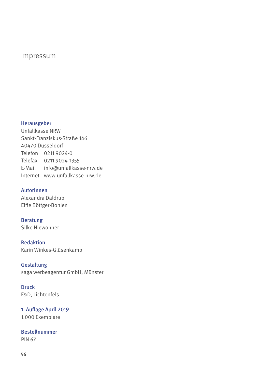### Impressum

#### Herausgeber

Unfallkasse NRW Sankt-Franziskus-Straße 146 40470 Düsseldorf Telefon 0211 9024-0 Telefax 0211 9024-1355 E-Mail info@unfallkasse-nrw.de Internet www.unfallkasse-nrw.de

#### Autorinnen

Alexandra Daldrup Elfie Böttger-Bohlen

Beratung Silke Niewohner

Redaktion Karin Winkes-Glüsenkamp

Gestaltung saga werbeagentur GmbH, Münster

Druck F&D, Lichtenfels

1. Auflage April 2019 1.000 Exemplare

## Bestellnummer

PIN 67